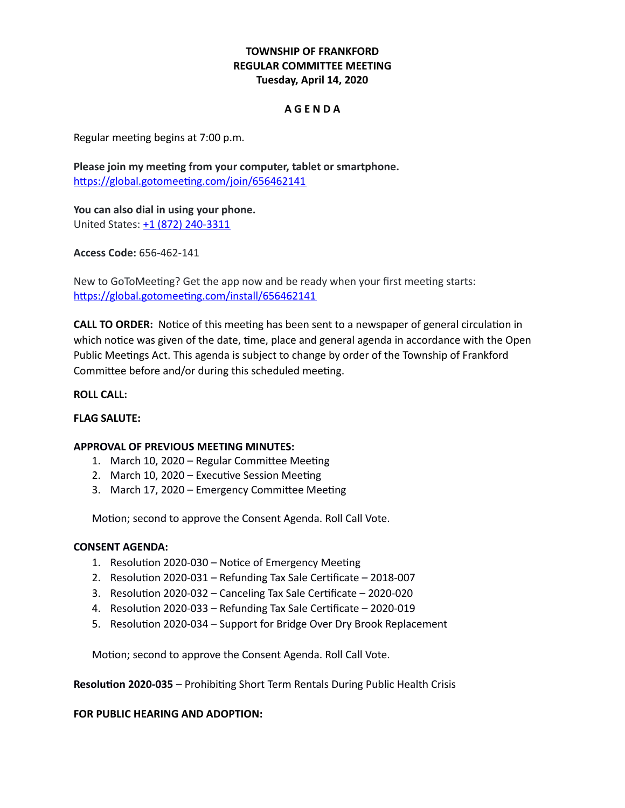# **TOWNSHIP OF FRANKFORD REGULAR COMMITTEE MEETING Tuesday, April 14, 2020**

## **A G E N D A**

Regular meeting begins at 7:00 p.m.

**Please join my meeting from your computer, tablet or smartphone.** <https://global.gotomeeting.com/join/656462141>

**You can also dial in using your phone.** United States: [+1 \(872\) 240-3311](tel:+18722403311,,656462141)

**Access Code:** 656-462-141

New to GoToMeeting? Get the app now and be ready when your first meeting starts: <https://global.gotomeeting.com/install/656462141>

**CALL TO ORDER:** Notice of this meeting has been sent to a newspaper of general circulation in which notice was given of the date, time, place and general agenda in accordance with the Open Public Meetings Act. This agenda is subject to change by order of the Township of Frankford Committee before and/or during this scheduled meeting.

## **ROLL CALL:**

#### **FLAG SALUTE:**

#### **APPROVAL OF PREVIOUS MEETING MINUTES:**

- 1. March 10, 2020 Regular Committee Meeting
- 2. March 10, 2020 Executive Session Meeting
- 3. March 17, 2020 Emergency Committee Meeting

Motion; second to approve the Consent Agenda. Roll Call Vote.

#### **CONSENT AGENDA:**

- 1. Resolution 2020-030 Notice of Emergency Meeting
- 2. Resolution 2020-031 Refunding Tax Sale Certificate 2018-007
- 3. Resolution 2020-032 Canceling Tax Sale Certificate 2020-020
- 4. Resolution 2020-033 Refunding Tax Sale Certificate 2020-019
- 5. Resolution 2020-034 Support for Bridge Over Dry Brook Replacement

Motion; second to approve the Consent Agenda. Roll Call Vote.

**Resolution 2020-035** – Prohibiting Short Term Rentals During Public Health Crisis

#### **FOR PUBLIC HEARING AND ADOPTION:**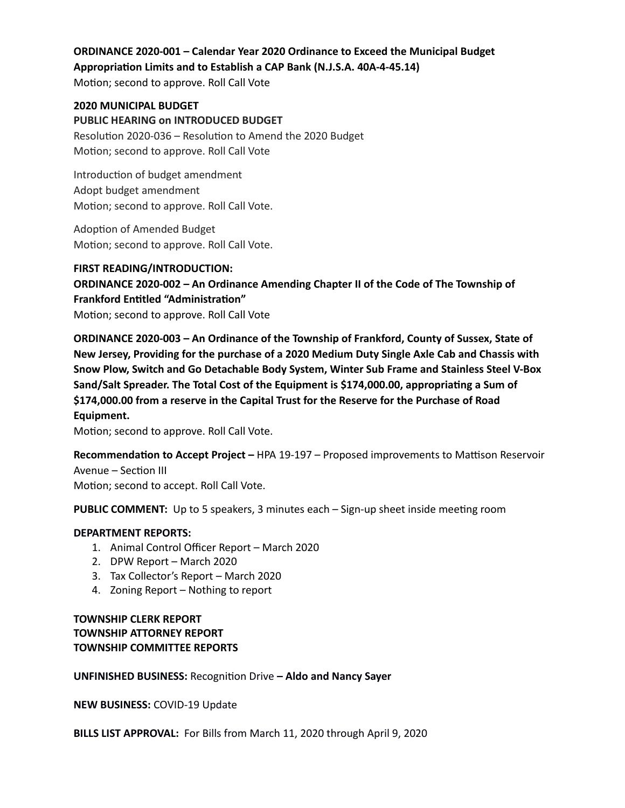# **ORDINANCE 2020-001 – Calendar Year 2020 Ordinance to Exceed the Municipal Budget Appropriation Limits and to Establish a CAP Bank (N.J.S.A. 40A-4-45.14)**

Motion; second to approve. Roll Call Vote

**2020 MUNICIPAL BUDGET PUBLIC HEARING on INTRODUCED BUDGET**  Resolution 2020-036 – Resolution to Amend the 2020 Budget Motion; second to approve. Roll Call Vote

Introduction of budget amendment Adopt budget amendment Motion; second to approve. Roll Call Vote.

Adoption of Amended Budget Motion; second to approve. Roll Call Vote.

**FIRST READING/INTRODUCTION: ORDINANCE 2020-002 – An Ordinance Amending Chapter II of the Code of The Township of Frankford Entitled "Administration"** Motion; second to approve. Roll Call Vote

**ORDINANCE 2020-003 – An Ordinance of the Township of Frankford, County of Sussex, State of New Jersey, Providing for the purchase of a 2020 Medium Duty Single Axle Cab and Chassis with Snow Plow, Switch and Go Detachable Body System, Winter Sub Frame and Stainless Steel V-Box Sand/Salt Spreader. The Total Cost of the Equipment is \$174,000.00, appropriating a Sum of \$174,000.00 from a reserve in the Capital Trust for the Reserve for the Purchase of Road Equipment.**

Motion; second to approve. Roll Call Vote.

**Recommendation to Accept Project –** HPA 19-197 – Proposed improvements to Mattison Reservoir Avenue – Section III Motion; second to accept. Roll Call Vote.

**PUBLIC COMMENT:** Up to 5 speakers, 3 minutes each – Sign-up sheet inside meeting room

## **DEPARTMENT REPORTS:**

- 1. Animal Control Officer Report March 2020
- 2. DPW Report March 2020
- 3. Tax Collector's Report March 2020
- 4. Zoning Report Nothing to report

# **TOWNSHIP CLERK REPORT TOWNSHIP ATTORNEY REPORT TOWNSHIP COMMITTEE REPORTS**

## **UNFINISHED BUSINESS:** Recognition Drive **– Aldo and Nancy Sayer**

**NEW BUSINESS:** COVID-19 Update

**BILLS LIST APPROVAL:** For Bills from March 11, 2020 through April 9, 2020